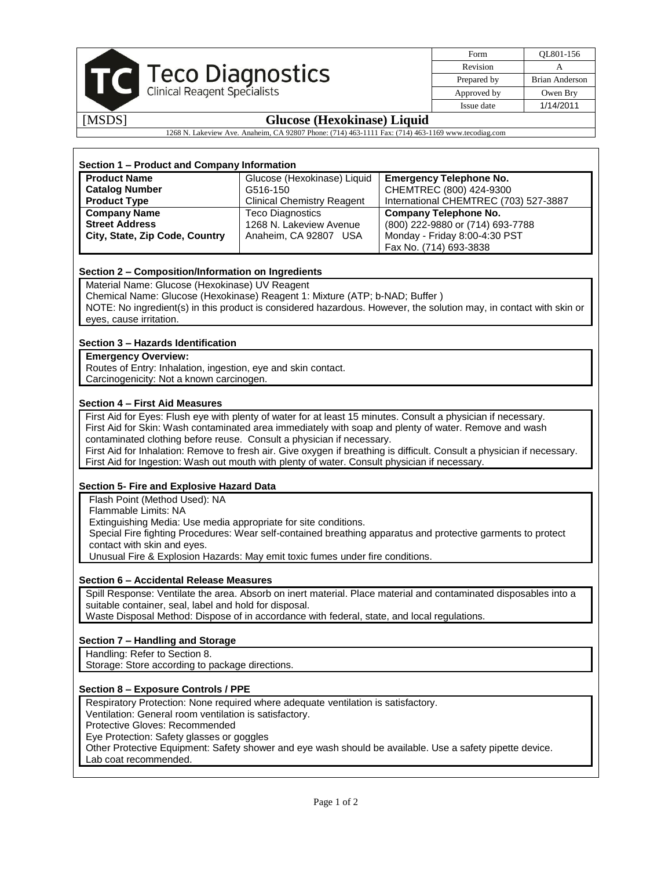|                                                                                                    | Teco Diagnostics<br><b>Clinical Reagent Specialists</b> | Form        | OL801-156             |  |
|----------------------------------------------------------------------------------------------------|---------------------------------------------------------|-------------|-----------------------|--|
|                                                                                                    |                                                         | Revision    |                       |  |
|                                                                                                    |                                                         | Prepared by | <b>Brian Anderson</b> |  |
|                                                                                                    |                                                         | Approved by | Owen Bry              |  |
|                                                                                                    |                                                         | Issue date  | 1/14/2011             |  |
| [MSDS]                                                                                             | <b>Glucose (Hexokinase) Liquid</b>                      |             |                       |  |
| 1268 N. Lakeview Ave. Anaheim, CA 92807 Phone: (714) 463-1111 Fax: (714) 463-1169 www.tecodiag.com |                                                         |             |                       |  |

| Section 1 – Product and Company Information |                                   |                                       |  |  |
|---------------------------------------------|-----------------------------------|---------------------------------------|--|--|
| <b>Product Name</b>                         | Glucose (Hexokinase) Liquid       | <b>Emergency Telephone No.</b>        |  |  |
| <b>Catalog Number</b>                       | G516-150                          | CHEMTREC (800) 424-9300               |  |  |
| <b>Product Type</b>                         | <b>Clinical Chemistry Reagent</b> | International CHEMTREC (703) 527-3887 |  |  |
| <b>Company Name</b>                         | Teco Diagnostics                  | <b>Company Telephone No.</b>          |  |  |
| <b>Street Address</b>                       | 1268 N. Lakeview Avenue           | (800) 222-9880 or (714) 693-7788      |  |  |
| City, State, Zip Code, Country              | Anaheim, CA 92807 USA             | Monday - Friday 8:00-4:30 PST         |  |  |
|                                             |                                   | Fax No. (714) 693-3838                |  |  |

# **Section 2 – Composition/Information on Ingredients**

Material Name: Glucose (Hexokinase) UV Reagent

Chemical Name: Glucose (Hexokinase) Reagent 1: Mixture (ATP; b-NAD; Buffer )

NOTE: No ingredient(s) in this product is considered hazardous. However, the solution may, in contact with skin or eyes, cause irritation.

# **Section 3 – Hazards Identification**

**Emergency Overview:**

Routes of Entry: Inhalation, ingestion, eye and skin contact. Carcinogenicity: Not a known carcinogen.

# **Section 4 – First Aid Measures**

First Aid for Eyes: Flush eye with plenty of water for at least 15 minutes. Consult a physician if necessary. First Aid for Skin: Wash contaminated area immediately with soap and plenty of water. Remove and wash contaminated clothing before reuse. Consult a physician if necessary.

First Aid for Inhalation: Remove to fresh air. Give oxygen if breathing is difficult. Consult a physician if necessary.

First Aid for Ingestion: Wash out mouth with plenty of water. Consult physician if necessary.

# **Section 5- Fire and Explosive Hazard Data**

Flash Point (Method Used): NA

Flammable Limits: NA

Extinguishing Media: Use media appropriate for site conditions.

Special Fire fighting Procedures: Wear self-contained breathing apparatus and protective garments to protect contact with skin and eyes.

Unusual Fire & Explosion Hazards: May emit toxic fumes under fire conditions.

#### **Section 6 – Accidental Release Measures**

Spill Response: Ventilate the area. Absorb on inert material. Place material and contaminated disposables into a suitable container, seal, label and hold for disposal.

Waste Disposal Method: Dispose of in accordance with federal, state, and local regulations.

# **Section 7 – Handling and Storage**

Handling: Refer to Section 8.

Storage: Store according to package directions.

# **Section 8 – Exposure Controls / PPE**

Respiratory Protection: None required where adequate ventilation is satisfactory.

Ventilation: General room ventilation is satisfactory.

Protective Gloves: Recommended

Eye Protection: Safety glasses or goggles

Other Protective Equipment: Safety shower and eye wash should be available. Use a safety pipette device. Lab coat recommended.